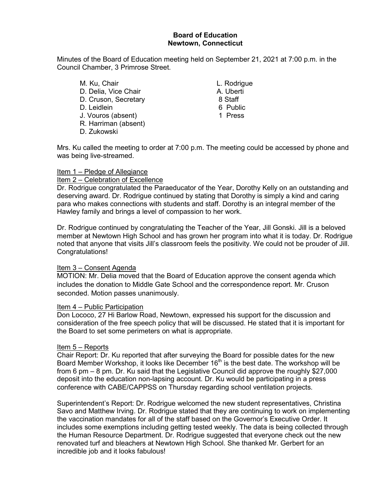# **Board of Education Newtown, Connecticut**

Minutes of the Board of Education meeting held on September 21, 2021 at 7:00 p.m. in the Council Chamber, 3 Primrose Street.

- M. Ku, Chair **M. Ku, Chair** L. Rodrigue D. Delia, Vice Chair (D. Delia, Vice Chair (D. Chair A. Uberti)<br>D. Cruson. Secretary (D. A. B. Staff (D. A. B. Staff (D. A. A. B. Staff (D. A. A. A. B. Staff (D. A. A. A. A. D. Cruson, Secretary 8 Staff D. Leidlein J. Vouros (absent) 1 Press R. Harriman (absent) D. Zukowski
	-

Mrs. Ku called the meeting to order at 7:00 p.m. The meeting could be accessed by phone and was being live-streamed.

#### Item 1 – Pledge of Allegiance

#### Item 2 – Celebration of Excellence

Dr. Rodrigue congratulated the Paraeducator of the Year, Dorothy Kelly on an outstanding and deserving award. Dr. Rodrigue continued by stating that Dorothy is simply a kind and caring para who makes connections with students and staff. Dorothy is an integral member of the Hawley family and brings a level of compassion to her work.

Dr. Rodrigue continued by congratulating the Teacher of the Year, Jill Gonski. Jill is a beloved member at Newtown High School and has grown her program into what it is today. Dr. Rodrigue noted that anyone that visits Jill's classroom feels the positivity. We could not be prouder of Jill. Congratulations!

# Item 3 - Consent Agenda

MOTION: Mr. Delia moved that the Board of Education approve the consent agenda which includes the donation to Middle Gate School and the correspondence report. Mr. Cruson seconded. Motion passes unanimously.

#### Item 4 – Public Participation

Don Lococo, 27 Hi Barlow Road, Newtown, expressed his support for the discussion and consideration of the free speech policy that will be discussed. He stated that it is important for the Board to set some perimeters on what is appropriate.

## Item 5 – Reports

Chair Report: Dr. Ku reported that after surveying the Board for possible dates for the new Board Member Workshop, it looks like December 16<sup>th</sup> is the best date. The workshop will be from 6 pm – 8 pm. Dr. Ku said that the Legislative Council did approve the roughly \$27,000 deposit into the education non-lapsing account. Dr. Ku would be participating in a press conference with CABE/CAPPSS on Thursday regarding school ventilation projects.

Superintendent's Report: Dr. Rodrigue welcomed the new student representatives, Christina Savo and Matthew Irving. Dr. Rodrigue stated that they are continuing to work on implementing the vaccination mandates for all of the staff based on the Governor's Executive Order. It includes some exemptions including getting tested weekly. The data is being collected through the Human Resource Department. Dr. Rodrigue suggested that everyone check out the new renovated turf and bleachers at Newtown High School. She thanked Mr. Gerbert for an incredible job and it looks fabulous!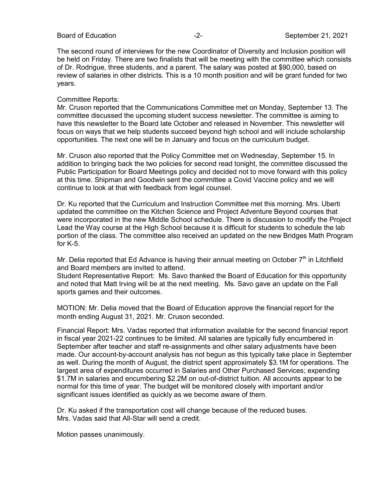The second round of interviews for the new Coordinator of Diversity and Inclusion position will be held on Friday. There are two finalists that will be meeting with the committee which consists of Dr. Rodrigue, three students, and a parent. The salary was posted at \$90,000, based on review of salaries in other districts. This is a 10 month position and will be grant funded for two years.

# Committee Reports:

Mr. Cruson reported that the Communications Committee met on Monday, September 13. The committee discussed the upcoming student success newsletter. The committee is aiming to have this newsletter to the Board late October and released in November. This newsletter will focus on ways that we help students succeed beyond high school and will include scholarship opportunities. The next one will be in January and focus on the curriculum budget.

Mr. Cruson also reported that the Policy Committee met on Wednesday, September 15. In addition to bringing back the two policies for second read tonight, the committee discussed the Public Participation for Board Meetings policy and decided not to move forward with this policy at this time. Shipman and Goodwin sent the committee a Covid Vaccine policy and we will continue to look at that with feedback from legal counsel.

Dr. Ku reported that the Curriculum and Instruction Committee met this morning. Mrs. Uberti updated the committee on the Kitchen Science and Project Adventure Beyond courses that were incorporated in the new Middle School schedule. There is discussion to modify the Project Lead the Way course at the High School because it is difficult for students to schedule the lab portion of the class. The committee also received an updated on the new Bridges Math Program for K-5.

Mr. Delia reported that Ed Advance is having their annual meeting on October  $7<sup>th</sup>$  in Litchfield and Board members are invited to attend.

Student Representative Report: Ms. Savo thanked the Board of Education for this opportunity and noted that Matt Irving will be at the next meeting. Ms. Savo gave an update on the Fall sports games and their outcomes.

MOTION: Mr. Delia moved that the Board of Education approve the financial report for the month ending August 31, 2021. Mr. Cruson seconded.

Financial Report: Mrs. Vadas reported that information available for the second financial report in fiscal year 2021-22 continues to be limited. All salaries are typically fully encumbered in September after teacher and staff re-assignments and other salary adjustments have been made. Our account-by-account analysis has not begun as this typically take place in September as well. During the month of August, the district spent approximately \$3.1M for operations. The largest area of expenditures occurred in Salaries and Other Purchased Services; expending \$1.7M in salaries and encumbering \$2.2M on out-of-district tuition. All accounts appear to be normal for this time of year. The budget will be monitored closely with important and/or significant issues identified as quickly as we become aware of them.

Dr. Ku asked if the transportation cost will change because of the reduced buses. Mrs. Vadas said that All-Star will send a credit.

Motion passes unanimously.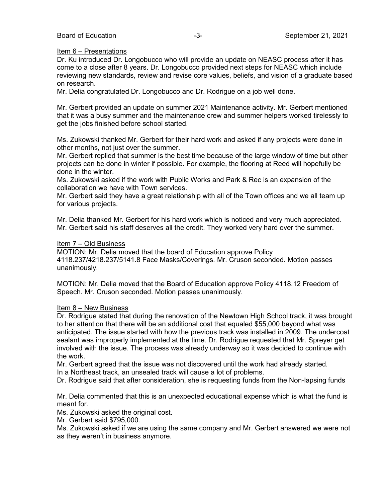# Item 6 – Presentations

Dr. Ku introduced Dr. Longobucco who will provide an update on NEASC process after it has come to a close after 8 years. Dr. Longobucco provided next steps for NEASC which include reviewing new standards, review and revise core values, beliefs, and vision of a graduate based on research.

Mr. Delia congratulated Dr. Longobucco and Dr. Rodrigue on a job well done.

Mr. Gerbert provided an update on summer 2021 Maintenance activity. Mr. Gerbert mentioned that it was a busy summer and the maintenance crew and summer helpers worked tirelessly to get the jobs finished before school started.

Ms. Zukowski thanked Mr. Gerbert for their hard work and asked if any projects were done in other months, not just over the summer.

Mr. Gerbert replied that summer is the best time because of the large window of time but other projects can be done in winter if possible. For example, the flooring at Reed will hopefully be done in the winter.

Ms. Zukowski asked if the work with Public Works and Park & Rec is an expansion of the collaboration we have with Town services.

Mr. Gerbert said they have a great relationship with all of the Town offices and we all team up for various projects.

Mr. Delia thanked Mr. Gerbert for his hard work which is noticed and very much appreciated. Mr. Gerbert said his staff deserves all the credit. They worked very hard over the summer.

## Item 7 – Old Business

MOTION: Mr. Delia moved that the board of Education approve Policy 4118.237/4218.237/5141.8 Face Masks/Coverings. Mr. Cruson seconded. Motion passes unanimously.

MOTION: Mr. Delia moved that the Board of Education approve Policy 4118.12 Freedom of Speech. Mr. Cruson seconded. Motion passes unanimously.

## Item 8 – New Business

Dr. Rodrigue stated that during the renovation of the Newtown High School track, it was brought to her attention that there will be an additional cost that equaled \$55,000 beyond what was anticipated. The issue started with how the previous track was installed in 2009. The undercoat sealant was improperly implemented at the time. Dr. Rodrigue requested that Mr. Spreyer get involved with the issue. The process was already underway so it was decided to continue with the work.

Mr. Gerbert agreed that the issue was not discovered until the work had already started. In a Northeast track, an unsealed track will cause a lot of problems.

Dr. Rodrigue said that after consideration, she is requesting funds from the Non-lapsing funds

Mr. Delia commented that this is an unexpected educational expense which is what the fund is meant for.

Ms. Zukowski asked the original cost.

Mr. Gerbert said \$795,000.

Ms. Zukowski asked if we are using the same company and Mr. Gerbert answered we were not as they weren't in business anymore.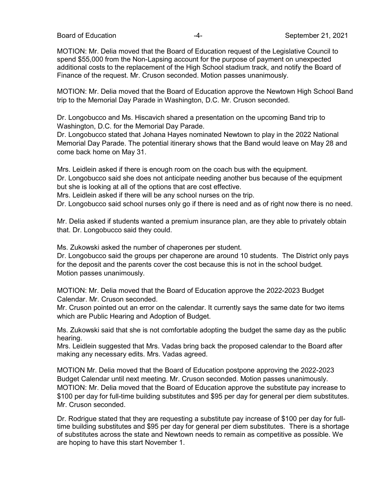MOTION: Mr. Delia moved that the Board of Education request of the Legislative Council to spend \$55,000 from the Non-Lapsing account for the purpose of payment on unexpected additional costs to the replacement of the High School stadium track, and notify the Board of Finance of the request. Mr. Cruson seconded. Motion passes unanimously.

MOTION: Mr. Delia moved that the Board of Education approve the Newtown High School Band trip to the Memorial Day Parade in Washington, D.C. Mr. Cruson seconded.

Dr. Longobucco and Ms. Hiscavich shared a presentation on the upcoming Band trip to Washington, D.C. for the Memorial Day Parade.

Dr. Longobucco stated that Johana Hayes nominated Newtown to play in the 2022 National Memorial Day Parade. The potential itinerary shows that the Band would leave on May 28 and come back home on May 31.

Mrs. Leidlein asked if there is enough room on the coach bus with the equipment.

Dr. Longobucco said she does not anticipate needing another bus because of the equipment but she is looking at all of the options that are cost effective.

Mrs. Leidlein asked if there will be any school nurses on the trip.

Dr. Longobucco said school nurses only go if there is need and as of right now there is no need.

Mr. Delia asked if students wanted a premium insurance plan, are they able to privately obtain that. Dr. Longobucco said they could.

Ms. Zukowski asked the number of chaperones per student.

Dr. Longobucco said the groups per chaperone are around 10 students. The District only pays for the deposit and the parents cover the cost because this is not in the school budget. Motion passes unanimously.

MOTION: Mr. Delia moved that the Board of Education approve the 2022-2023 Budget Calendar. Mr. Cruson seconded.

Mr. Cruson pointed out an error on the calendar. It currently says the same date for two items which are Public Hearing and Adoption of Budget.

Ms. Zukowski said that she is not comfortable adopting the budget the same day as the public hearing.

Mrs. Leidlein suggested that Mrs. Vadas bring back the proposed calendar to the Board after making any necessary edits. Mrs. Vadas agreed.

MOTION Mr. Delia moved that the Board of Education postpone approving the 2022-2023 Budget Calendar until next meeting. Mr. Cruson seconded. Motion passes unanimously. MOTION: Mr. Delia moved that the Board of Education approve the substitute pay increase to \$100 per day for full-time building substitutes and \$95 per day for general per diem substitutes. Mr. Cruson seconded.

Dr. Rodrigue stated that they are requesting a substitute pay increase of \$100 per day for fulltime building substitutes and \$95 per day for general per diem substitutes. There is a shortage of substitutes across the state and Newtown needs to remain as competitive as possible. We are hoping to have this start November 1.